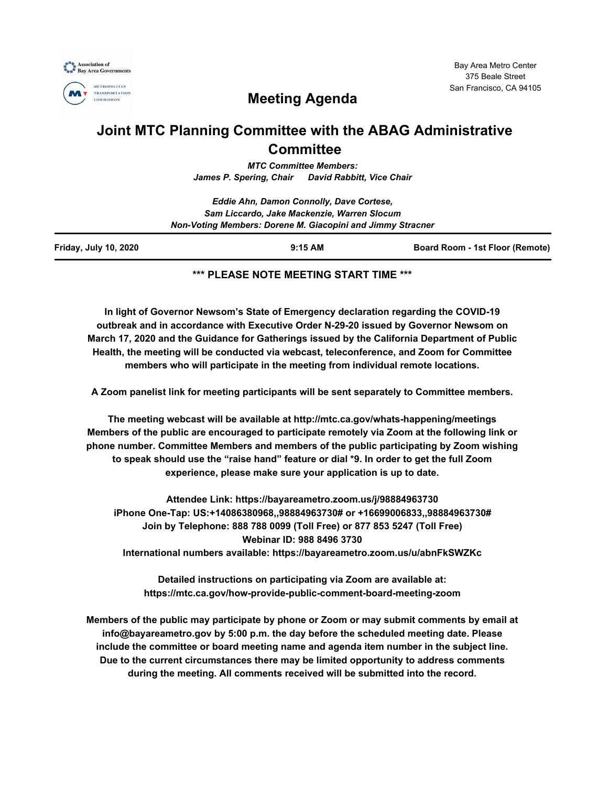



Bay Area Metro Center 375 Beale Street San Francisco, CA 94105

# **Meeting Agenda**

## **Joint MTC Planning Committee with the ABAG Administrative Committee**

*MTC Committee Members: James P. Spering, Chair David Rabbitt, Vice Chair*

|                              | Eddie Ahn, Damon Connolly, Dave Cortese,<br>Sam Liccardo, Jake Mackenzie, Warren Slocum |                                        |
|------------------------------|-----------------------------------------------------------------------------------------|----------------------------------------|
|                              |                                                                                         |                                        |
|                              | Non-Voting Members: Dorene M. Giacopini and Jimmy Stracner                              |                                        |
| <b>Friday, July 10, 2020</b> | $9:15$ AM                                                                               | <b>Board Room - 1st Floor (Remote)</b> |

#### **\*\*\* PLEASE NOTE MEETING START TIME \*\*\***

**In light of Governor Newsom's State of Emergency declaration regarding the COVID-19 outbreak and in accordance with Executive Order N-29-20 issued by Governor Newsom on March 17, 2020 and the Guidance for Gatherings issued by the California Department of Public Health, the meeting will be conducted via webcast, teleconference, and Zoom for Committee members who will participate in the meeting from individual remote locations.**

**A Zoom panelist link for meeting participants will be sent separately to Committee members.**

**The meeting webcast will be available at http://mtc.ca.gov/whats-happening/meetings Members of the public are encouraged to participate remotely via Zoom at the following link or phone number. Committee Members and members of the public participating by Zoom wishing to speak should use the "raise hand" feature or dial \*9. In order to get the full Zoom experience, please make sure your application is up to date.**

**Attendee Link: https://bayareametro.zoom.us/j/98884963730 iPhone One-Tap: US:+14086380968,,98884963730# or +16699006833,,98884963730# Join by Telephone: 888 788 0099 (Toll Free) or 877 853 5247 (Toll Free) Webinar ID: 988 8496 3730 International numbers available: https://bayareametro.zoom.us/u/abnFkSWZKc**

**Detailed instructions on participating via Zoom are available at: https://mtc.ca.gov/how-provide-public-comment-board-meeting-zoom**

**Members of the public may participate by phone or Zoom or may submit comments by email at info@bayareametro.gov by 5:00 p.m. the day before the scheduled meeting date. Please include the committee or board meeting name and agenda item number in the subject line. Due to the current circumstances there may be limited opportunity to address comments during the meeting. All comments received will be submitted into the record.**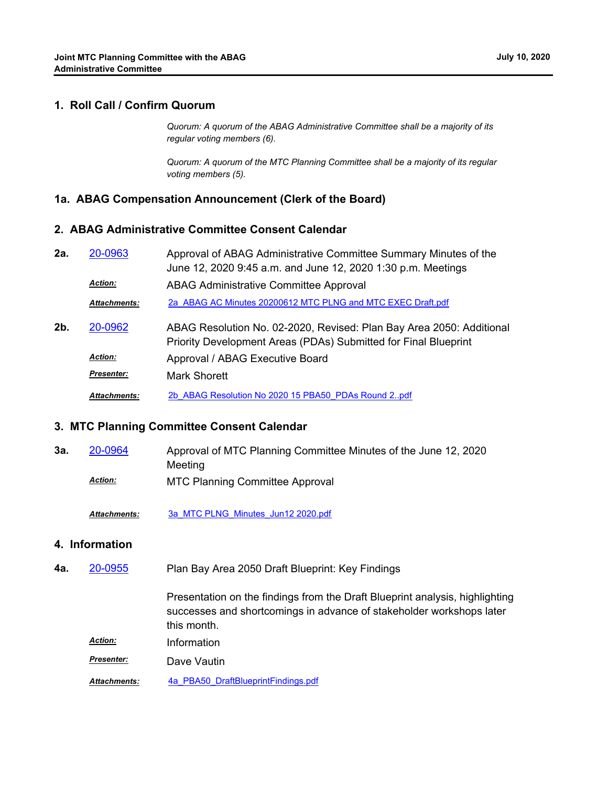#### **1. Roll Call / Confirm Quorum**

*Quorum: A quorum of the ABAG Administrative Committee shall be a majority of its regular voting members (6).*

*Quorum: A quorum of the MTC Planning Committee shall be a majority of its regular voting members (5).*

#### **1a. ABAG Compensation Announcement (Clerk of the Board)**

#### **2. ABAG Administrative Committee Consent Calendar**

| 2a. | 20-0963        | Approval of ABAG Administrative Committee Summary Minutes of the |  |
|-----|----------------|------------------------------------------------------------------|--|
|     |                | June 12, 2020 9:45 a.m. and June 12, 2020 1:30 p.m. Meetings     |  |
|     | <b>Action:</b> | ABAG Administrative Committee Approval                           |  |
|     | Attachments:   | 2a ABAG AC Minutes 20200612 MTC PLNG and MTC EXEC Draft.pdf      |  |

ABAG Resolution No. 02-2020, Revised: Plan Bay Area 2050: Additional Priority Development Areas (PDAs) Submitted for Final Blueprint **2b.** [20-0962](http://mtc.legistar.com/gateway.aspx?m=l&id=/matter.aspx?key=20826) *Action:* Approval / ABAG Executive Board **Presenter:** Mark Shorett *Attachments:* [2b\\_ABAG Resolution No 2020 15 PBA50\\_PDAs Round 2..pdf](http://mtc.legistar.com/gateway.aspx?M=F&ID=fd9abae8-1f3f-4247-a7b2-d4eba15a2c76.pdf)

# **3. MTC Planning Committee Consent Calendar**

Approval of MTC Planning Committee Minutes of the June 12, 2020 Meeting **3a.** [20-0964](http://mtc.legistar.com/gateway.aspx?m=l&id=/matter.aspx?key=20828)

MTC Planning Committee Approval *Action:*

*Attachments:* [3a\\_MTC PLNG\\_Minutes\\_Jun12 2020.pdf](http://mtc.legistar.com/gateway.aspx?M=F&ID=3ef5c1ab-e026-4c3b-a4a1-db613d01d22b.pdf)

#### **4. Information**

Plan Bay Area 2050 Draft Blueprint: Key Findings **4a.** [20-0955](http://mtc.legistar.com/gateway.aspx?m=l&id=/matter.aspx?key=20819)

> Presentation on the findings from the Draft Blueprint analysis, highlighting successes and shortcomings in advance of stakeholder workshops later this month.

*Action:* Information

*Presenter:* Dave Vautin

*Attachments:* [4a\\_PBA50\\_DraftBlueprintFindings.pdf](http://mtc.legistar.com/gateway.aspx?M=F&ID=ed6db023-084d-4652-bae1-31f758cf1982.pdf)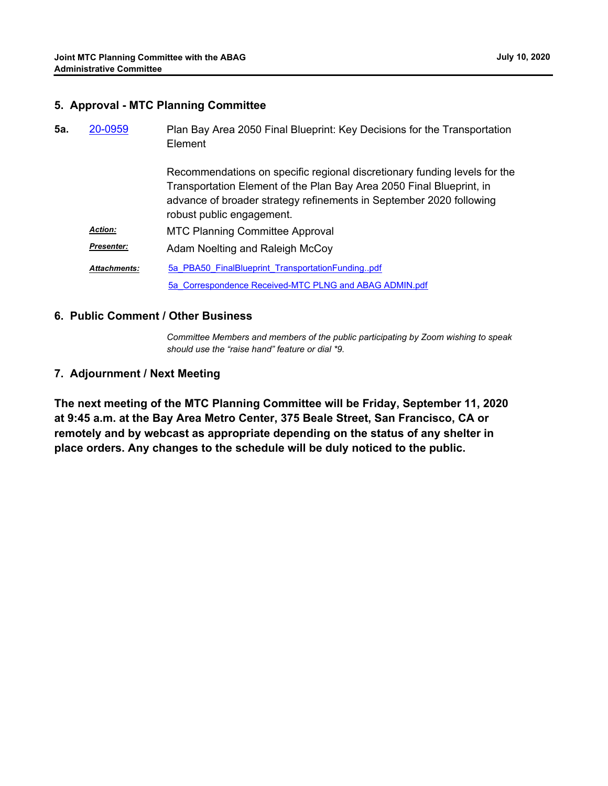| 5a. | 20-0959             | Plan Bay Area 2050 Final Blueprint: Key Decisions for the Transportation<br>Element                                                                                                                                                                   |
|-----|---------------------|-------------------------------------------------------------------------------------------------------------------------------------------------------------------------------------------------------------------------------------------------------|
|     |                     | Recommendations on specific regional discretionary funding levels for the<br>Transportation Element of the Plan Bay Area 2050 Final Blueprint, in<br>advance of broader strategy refinements in September 2020 following<br>robust public engagement. |
|     | <b>Action:</b>      | <b>MTC Planning Committee Approval</b>                                                                                                                                                                                                                |
|     | <b>Presenter:</b>   | Adam Noelting and Raleigh McCoy                                                                                                                                                                                                                       |
|     | <b>Attachments:</b> | 5a PBA50 FinalBlueprint TransportationFundingpdf                                                                                                                                                                                                      |
|     |                     | 5a Correspondence Received-MTC PLNG and ABAG ADMIN.pdf                                                                                                                                                                                                |

### **6. Public Comment / Other Business**

*Committee Members and members of the public participating by Zoom wishing to speak should use the "raise hand" feature or dial \*9.*

### **7. Adjournment / Next Meeting**

**The next meeting of the MTC Planning Committee will be Friday, September 11, 2020 at 9:45 a.m. at the Bay Area Metro Center, 375 Beale Street, San Francisco, CA or remotely and by webcast as appropriate depending on the status of any shelter in place orders. Any changes to the schedule will be duly noticed to the public.**